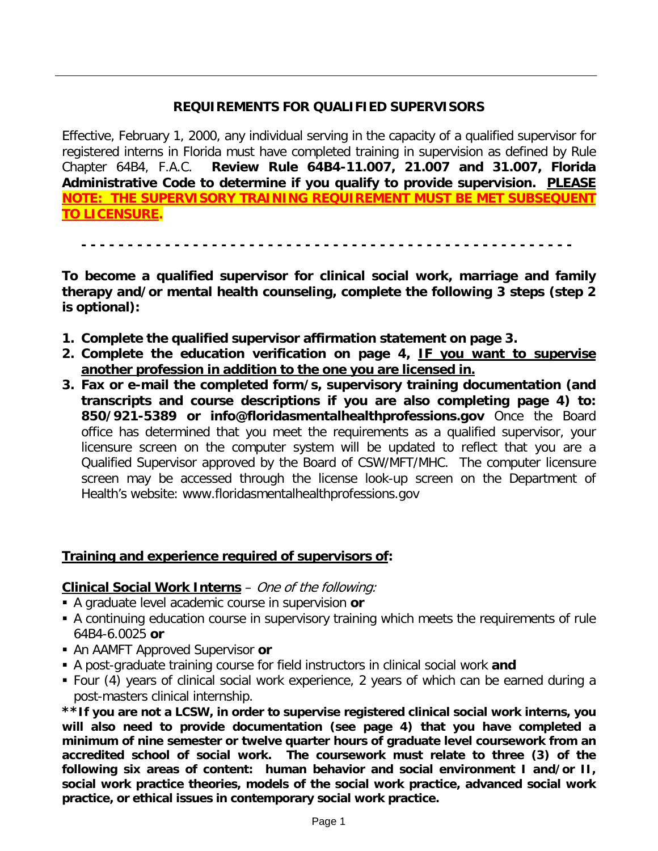# **REQUIREMENTS FOR QUALIFIED SUPERVISORS**

Effective, February 1, 2000, any individual serving in the capacity of a qualified supervisor for registered interns in Florida must have completed training in supervision as defined by Rule Chapter 64B4, F.A.C. **Review Rule 64B4-11.007, 21.007 and 31.007, Florida Administrative Code to determine if you qualify to provide supervision. PLEASE NOTE: THE SUPERVISORY TRAINING REQUIREMENT MUST BE MET SUBSEQUENT TO LICENSURE.**

**- - - - - - - - - - - - - - - - - - - - - - - - - - - - - - - - - - - - - - - - - - - - - - - - - - - - -**

**To become a qualified supervisor for clinical social work, marriage and family therapy and/or mental health counseling, complete the following 3 steps (step 2 is optional):**

- **1. Complete the qualified supervisor affirmation statement on page 3.**
- **2. Complete the education verification on page 4, IF you want to supervise another profession in addition to the one you are licensed in.**
- **3. Fax or e-mail the completed form/s, supervisory training documentation (and transcripts and course descriptions if you are also completing page 4) to: 850/921-5389 or info@floridasmentalhealthprofessions.gov** Once the Board office has determined that you meet the requirements as a qualified supervisor, your licensure screen on the computer system will be updated to reflect that you are a Qualified Supervisor approved by the Board of CSW/MFT/MHC. The computer licensure screen may be accessed through the license look-up screen on the Department of Health's website: www.floridasmentalhealthprofessions.gov

#### **Training and experience required of supervisors of:**

### **Clinical Social Work Interns** – One of the following:

- A graduate level academic course in supervision **or**
- A continuing education course in supervisory training which meets the requirements of rule 64B4-6.0025 **or**
- An AAMFT Approved Supervisor **or**
- A post-graduate training course for field instructors in clinical social work **and**
- Four (4) years of clinical social work experience, 2 years of which can be earned during a post-masters clinical internship.

**\*\*If you are not a LCSW, in order to supervise registered clinical social work interns, you will also need to provide documentation (see page 4) that you have completed a minimum of nine semester or twelve quarter hours of graduate level coursework from an accredited school of social work. The coursework must relate to three (3) of the following six areas of content: human behavior and social environment I and/or II, social work practice theories, models of the social work practice, advanced social work practice, or ethical issues in contemporary social work practice.**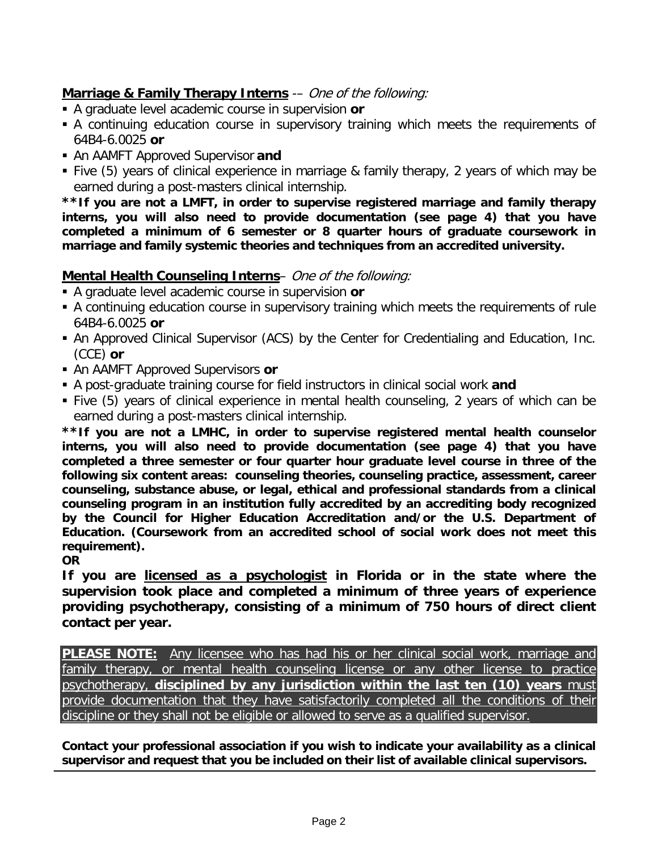# **Marriage & Family Therapy Interns** -– One of the following:

- A graduate level academic course in supervision **or**
- A continuing education course in supervisory training which meets the requirements of 64B4-6.0025 **or**
- An AAMFT Approved Supervisor **and**
- Five (5) years of clinical experience in marriage & family therapy, 2 years of which may be earned during a post-masters clinical internship.

**\*\*If you are not a LMFT, in order to supervise registered marriage and family therapy interns, you will also need to provide documentation (see page 4) that you have completed a minimum of 6 semester or 8 quarter hours of graduate coursework in marriage and family systemic theories and techniques from an accredited university.**

# **Mental Health Counseling Interns**– One of the following:

- A graduate level academic course in supervision **or**
- A continuing education course in supervisory training which meets the requirements of rule 64B4-6.0025 **or**
- An Approved Clinical Supervisor (ACS) by the Center for Credentialing and Education, Inc. (CCE) **or**
- An AAMFT Approved Supervisors **or**
- A post-graduate training course for field instructors in clinical social work **and**
- Five (5) years of clinical experience in mental health counseling, 2 years of which can be earned during a post-masters clinical internship.

**\*\*If you are not a LMHC, in order to supervise registered mental health counselor interns, you will also need to provide documentation (see page 4) that you have completed a three semester or four quarter hour graduate level course in three of the following six content areas: counseling theories, counseling practice, assessment, career counseling, substance abuse, or legal, ethical and professional standards from a clinical counseling program in an institution fully accredited by an accrediting body recognized by the Council for Higher Education Accreditation and/or the U.S. Department of Education. (Coursework from an accredited school of social work does not meet this requirement).**

**OR**

**If you are licensed as a psychologist in Florida or in the state where the supervision took place and completed a minimum of three years of experience providing psychotherapy, consisting of a minimum of 750 hours of direct client contact per year.**

**PLEASE NOTE:** Any licensee who has had his or her clinical social work, marriage and family therapy, or mental health counseling license or any other license to practice psychotherapy, **disciplined by any jurisdiction within the last ten (10) years** must provide documentation that they have satisfactorily completed all the conditions of their discipline or they shall not be eligible or allowed to serve as a qualified supervisor.

**Contact your professional association if you wish to indicate your availability as a clinical supervisor and request that you be included on their list of available clinical supervisors.**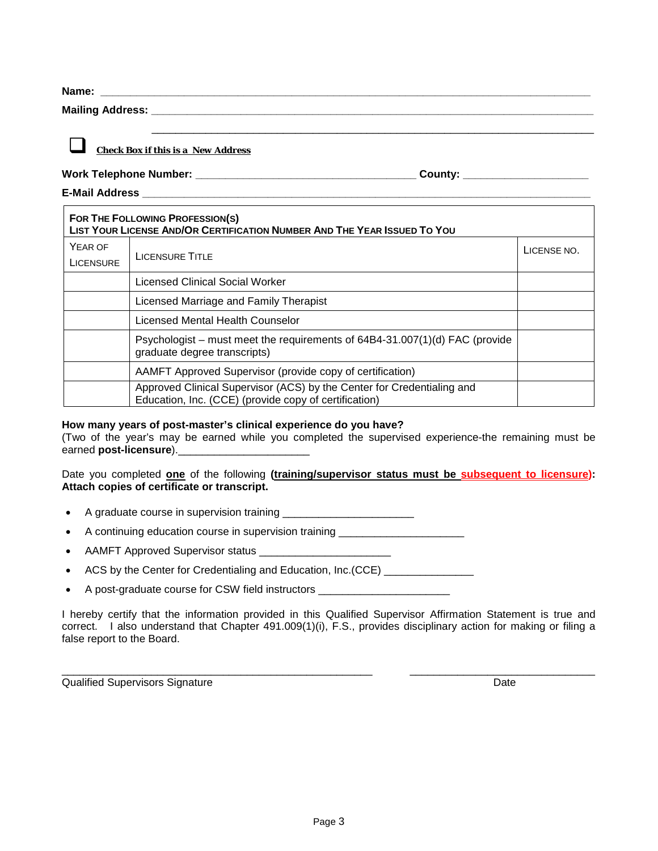**Name: \_\_\_\_\_\_\_\_\_\_\_\_\_\_\_\_\_\_\_\_\_\_\_\_\_\_\_\_\_\_\_\_\_\_\_\_\_\_\_\_\_\_\_\_\_\_\_\_\_\_\_\_\_\_\_\_\_\_\_\_\_\_\_\_\_\_\_\_\_\_\_\_\_\_\_\_\_\_\_\_\_\_**

**Mailing Address: \_\_\_\_\_\_\_\_\_\_\_\_\_\_\_\_\_\_\_\_\_\_\_\_\_\_\_\_\_\_\_\_\_\_\_\_\_\_\_\_\_\_\_\_\_\_\_\_\_\_\_\_\_\_\_\_\_\_\_\_\_\_\_\_\_\_\_\_\_\_\_\_\_\_**

#### *Check Box if this is a New Address*

**Work Telephone Number: \_\_\_\_\_\_\_\_\_\_\_\_\_\_\_\_\_\_\_\_\_\_\_\_\_\_\_\_\_\_\_\_\_\_\_\_\_ County: \_\_\_\_\_\_\_\_\_\_\_\_\_\_\_\_\_\_\_\_\_**

**E-Mail Address \_\_\_\_\_\_\_\_\_\_\_\_\_\_\_\_\_\_\_\_\_\_\_\_\_\_\_\_\_\_\_\_\_\_\_\_\_\_\_\_\_\_\_\_\_\_\_\_\_\_\_\_\_\_\_\_\_\_\_\_\_\_\_\_\_\_\_\_\_\_\_\_\_\_\_**

| FOR THE FOLLOWING PROFESSION(S)<br>LIST YOUR LICENSE AND/OR CERTIFICATION NUMBER AND THE YEAR ISSUED TO YOU |                                                                                                                                 |             |  |  |  |
|-------------------------------------------------------------------------------------------------------------|---------------------------------------------------------------------------------------------------------------------------------|-------------|--|--|--|
| YEAR OF<br><b>LICENSURE</b>                                                                                 | <b>LICENSURE TITLE</b>                                                                                                          | LICENSE NO. |  |  |  |
|                                                                                                             | Licensed Clinical Social Worker                                                                                                 |             |  |  |  |
|                                                                                                             | Licensed Marriage and Family Therapist                                                                                          |             |  |  |  |
|                                                                                                             | Licensed Mental Health Counselor                                                                                                |             |  |  |  |
|                                                                                                             | Psychologist – must meet the requirements of 64B4-31.007(1)(d) FAC (provide<br>graduate degree transcripts)                     |             |  |  |  |
|                                                                                                             | AAMFT Approved Supervisor (provide copy of certification)                                                                       |             |  |  |  |
|                                                                                                             | Approved Clinical Supervisor (ACS) by the Center for Credentialing and<br>Education, Inc. (CCE) (provide copy of certification) |             |  |  |  |

\_\_\_\_\_\_\_\_\_\_\_\_\_\_\_\_\_\_\_\_\_\_\_\_\_\_\_\_\_\_\_\_\_\_\_\_\_\_\_\_\_\_\_\_\_\_\_\_\_\_\_\_\_\_\_\_\_\_\_\_\_\_\_\_\_\_\_\_\_\_\_\_\_\_

#### **How many years of post-master's clinical experience do you have?**

(Two of the year's may be earned while you completed the supervised experience-the remaining must be earned **post-licensure**).

#### Date you completed **one** of the following **(training/supervisor status must be subsequent to licensure): Attach copies of certificate or transcript.**

- A graduate course in supervision training \_\_\_\_\_\_\_\_\_\_\_\_\_\_\_\_\_\_\_\_\_\_
- A continuing education course in supervision training \_\_\_\_\_\_\_\_\_\_\_\_\_\_\_\_\_\_\_\_\_\_\_
- AAMFT Approved Supervisor status \_\_\_\_\_\_\_
- ACS by the Center for Credentialing and Education, Inc.(CCE) \_\_\_\_\_\_\_\_\_\_\_\_\_\_\_\_
- A post-graduate course for CSW field instructors \_\_\_\_\_\_\_\_\_\_\_\_\_

I hereby certify that the information provided in this Qualified Supervisor Affirmation Statement is true and correct. I also understand that Chapter 491.009(1)(i), F.S., provides disciplinary action for making or filing a false report to the Board.

\_\_\_\_\_\_\_\_\_\_\_\_\_\_\_\_\_\_\_\_\_\_\_\_\_\_\_\_\_\_\_\_\_\_\_\_\_\_\_\_\_\_\_\_\_\_\_\_\_\_\_\_ \_\_\_\_\_\_\_\_\_\_\_\_\_\_\_\_\_\_\_\_\_\_\_\_\_\_\_\_\_\_\_

**Qualified Supervisors Signature Community Community Community Community Community Community Community Community**